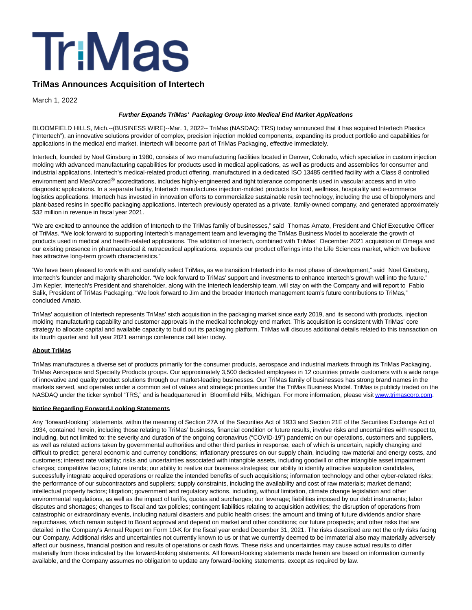

## **TriMas Announces Acquisition of Intertech**

March 1, 2022

## **Further Expands TriMas' Packaging Group into Medical End Market Applications**

BLOOMFIELD HILLS, Mich.--(BUSINESS WIRE)--Mar. 1, 2022-- TriMas (NASDAQ: TRS) today announced that it has acquired Intertech Plastics ("Intertech"), an innovative solutions provider of complex, precision injection molded components, expanding its product portfolio and capabilities for applications in the medical end market. Intertech will become part of TriMas Packaging, effective immediately.

Intertech, founded by Noel Ginsburg in 1980, consists of two manufacturing facilities located in Denver, Colorado, which specialize in custom injection molding with advanced manufacturing capabilities for products used in medical applications, as well as products and assemblies for consumer and industrial applications. Intertech's medical-related product offering, manufactured in a dedicated ISO 13485 certified facility with a Class 8 controlled environment and MedAccred<sup>®</sup> accreditations, includes highly-engineered and tight tolerance components used in vascular access and in vitro diagnostic applications. In a separate facility, Intertech manufactures injection-molded products for food, wellness, hospitality and e-commerce logistics applications. Intertech has invested in innovation efforts to commercialize sustainable resin technology, including the use of biopolymers and plant-based resins in specific packaging applications. Intertech previously operated as a private, family-owned company, and generated approximately \$32 million in revenue in fiscal year 2021.

"We are excited to announce the addition of Intertech to the TriMas family of businesses," said Thomas Amato, President and Chief Executive Officer of TriMas. "We look forward to supporting Intertech's management team and leveraging the TriMas Business Model to accelerate the growth of products used in medical and health-related applications. The addition of Intertech, combined with TriMas' December 2021 acquisition of Omega and our existing presence in pharmaceutical & nutraceutical applications, expands our product offerings into the Life Sciences market, which we believe has attractive long-term growth characteristics."

"We have been pleased to work with and carefully select TriMas, as we transition Intertech into its next phase of development," said Noel Ginsburg, Intertech's founder and majority shareholder. "We look forward to TriMas' support and investments to enhance Intertech's growth well into the future." Jim Kepler, Intertech's President and shareholder, along with the Intertech leadership team, will stay on with the Company and will report to Fabio Salik, President of TriMas Packaging. "We look forward to Jim and the broader Intertech management team's future contributions to TriMas," concluded Amato.

TriMas' acquisition of Intertech represents TriMas' sixth acquisition in the packaging market since early 2019, and its second with products, injection molding manufacturing capability and customer approvals in the medical technology end market. This acquisition is consistent with TriMas' core strategy to allocate capital and available capacity to build out its packaging platform. TriMas will discuss additional details related to this transaction on its fourth quarter and full year 2021 earnings conference call later today.

## **About TriMas**

TriMas manufactures a diverse set of products primarily for the consumer products, aerospace and industrial markets through its TriMas Packaging, TriMas Aerospace and Specialty Products groups. Our approximately 3,500 dedicated employees in 12 countries provide customers with a wide range of innovative and quality product solutions through our market-leading businesses. Our TriMas family of businesses has strong brand names in the markets served, and operates under a common set of values and strategic priorities under the TriMas Business Model. TriMas is publicly traded on the NASDAQ under the ticker symbol "TRS," and is headquartered in Bloomfield Hills, Michigan. For more information, please visi[t www.trimascorp.com.](https://cts.businesswire.com/ct/CT?id=smartlink&url=http%3A%2F%2Fwww.trimascorp.com&esheet=52587151&newsitemid=20220301005339&lan=en-US&anchor=www.trimascorp.com&index=1&md5=d165538c78115e03d0d8ae35409ce50a)

## **Notice Regarding Forward-Looking Statements**

Any "forward-looking" statements, within the meaning of Section 27A of the Securities Act of 1933 and Section 21E of the Securities Exchange Act of 1934, contained herein, including those relating to TriMas' business, financial condition or future results, involve risks and uncertainties with respect to, including, but not limited to: the severity and duration of the ongoing coronavirus ("COVID-19") pandemic on our operations, customers and suppliers, as well as related actions taken by governmental authorities and other third parties in response, each of which is uncertain, rapidly changing and difficult to predict; general economic and currency conditions; inflationary pressures on our supply chain, including raw material and energy costs, and customers; interest rate volatility; risks and uncertainties associated with intangible assets, including goodwill or other intangible asset impairment charges; competitive factors; future trends; our ability to realize our business strategies; our ability to identify attractive acquisition candidates, successfully integrate acquired operations or realize the intended benefits of such acquisitions; information technology and other cyber-related risks; the performance of our subcontractors and suppliers; supply constraints, including the availability and cost of raw materials; market demand; intellectual property factors; litigation; government and regulatory actions, including, without limitation, climate change legislation and other environmental regulations, as well as the impact of tariffs, quotas and surcharges; our leverage; liabilities imposed by our debt instruments; labor disputes and shortages; changes to fiscal and tax policies; contingent liabilities relating to acquisition activities; the disruption of operations from catastrophic or extraordinary events, including natural disasters and public health crises; the amount and timing of future dividends and/or share repurchases, which remain subject to Board approval and depend on market and other conditions; our future prospects; and other risks that are detailed in the Company's Annual Report on Form 10-K for the fiscal year ended December 31, 2021. The risks described are not the only risks facing our Company. Additional risks and uncertainties not currently known to us or that we currently deemed to be immaterial also may materially adversely affect our business, financial position and results of operations or cash flows. These risks and uncertainties may cause actual results to differ materially from those indicated by the forward-looking statements. All forward-looking statements made herein are based on information currently available, and the Company assumes no obligation to update any forward-looking statements, except as required by law.